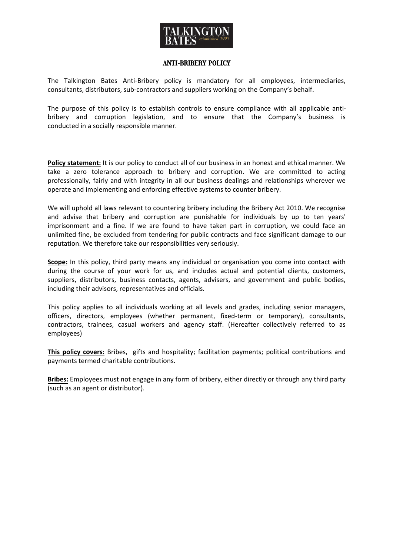

## Anti**-**Bribery Policy

The Talkington Bates Anti-Bribery policy is mandatory for all employees, intermediaries, consultants, distributors, sub-contractors and suppliers working on the Company's behalf.

The purpose of this policy is to establish controls to ensure compliance with all applicable antibribery and corruption legislation, and to ensure that the Company's business is conducted in a socially responsible manner.

**Policy statement:** It is our policy to conduct all of our business in an honest and ethical manner. We take a zero tolerance approach to bribery and corruption. We are committed to acting professionally, fairly and with integrity in all our business dealings and relationships wherever we operate and implementing and enforcing effective systems to counter bribery.

We will uphold all laws relevant to countering bribery including the Bribery Act 2010. We recognise and advise that bribery and corruption are punishable for individuals by up to ten years' imprisonment and a fine. If we are found to have taken part in corruption, we could face an unlimited fine, be excluded from tendering for public contracts and face significant damage to our reputation. We therefore take our responsibilities very seriously.

**Scope:** In this policy, third party means any individual or organisation you come into contact with during the course of your work for us, and includes actual and potential clients, customers, suppliers, distributors, business contacts, agents, advisers, and government and public bodies, including their advisors, representatives and officials.

This policy applies to all individuals working at all levels and grades, including senior managers, officers, directors, employees (whether permanent, fixed-term or temporary), consultants, contractors, trainees, casual workers and agency staff. (Hereafter collectively referred to as employees)

**This policy covers:** Bribes, gifts and hospitality; facilitation payments; political contributions and payments termed charitable contributions.

**Bribes:** Employees must not engage in any form of bribery, either directly or through any third party (such as an agent or distributor).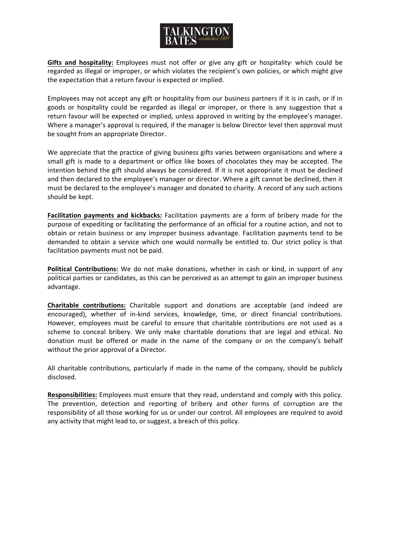

Gifts and hospitality: Employees must not offer or give any gift or hospitality· which could be regarded as illegal or improper, or which violates the recipient's own policies, or which might give the expectation that a return favour is expected or implied.

Employees may not accept any gift or hospitality from our business partners if it is in cash, or if in goods or hospitality could be regarded as illegal or improper, or there is any suggestion that a return favour will be expected or implied, unless approved in writing by the employee's manager. Where a manager's approval is required, if the manager is below Director level then approval must be sought from an appropriate Director.

We appreciate that the practice of giving business gifts varies between organisations and where a small gift is made to a department or office like boxes of chocolates they may be accepted. The intention behind the gift should always be considered. If it is not appropriate it must be declined and then declared to the employee's manager or director. Where a gift cannot be declined, then it must be declared to the employee's manager and donated to charity. A record of any such actions should be kept.

**Facilitation payments and kickbacks:** Facilitation payments are a form of bribery made for the purpose of expediting or facilitating the performance of an official for a routine action, and not to obtain or retain business or any improper business advantage. Facilitation payments tend to be demanded to obtain a service which one would normally be entitled to. Our strict policy is that facilitation payments must not be paid.

**Political Contributions:** We do not make donations, whether in cash or kind, in support of any political parties or candidates, as this can be perceived as an attempt to gain an improper business advantage.

**Charitable contributions:** Charitable support and donations are acceptable (and indeed are encouraged), whether of in-kind services, knowledge, time, or direct financial contributions. However, employees must be careful to ensure that charitable contributions are not used as a scheme to conceal bribery. We only make charitable donations that are legal and ethical. No donation must be offered or made in the name of the company or on the company's behalf without the prior approval of a Director.

All charitable contributions, particularly if made in the name of the company, should be publicly disclosed.

**Responsibilities:** Employees must ensure that they read, understand and comply with this policy. The prevention, detection and reporting of bribery and other forms of corruption are the responsibility of all those working for us or under our control. All employees are required to avoid any activity that might lead to, or suggest, a breach of this policy.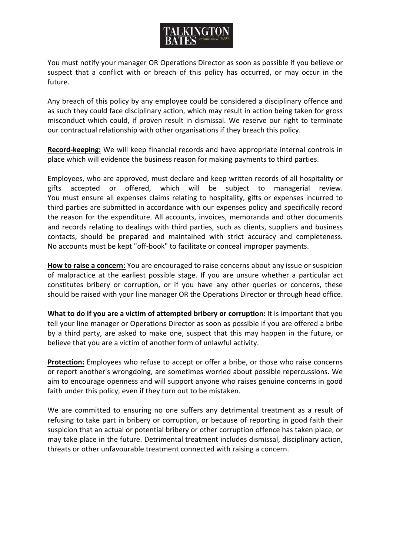You must notify your manager OR Operations Director as soon as possible if you believe or suspect that a conflict with or breach of this policy has occurred, or may occur in the future.

Any breach of this policy by any employee could be considered a disciplinary offence and as such they could face disciplinary action, which may result in action being taken for gross misconduct which could, if proven result in dismissal. We reserve our right to terminate our contractual relationship with other organisations if they breach this policy.

**Record-keeping:** We will keep financial records and have appropriate internal controls in place which will evidence the business reason for making payments to third parties.

Employees, who are approved, must declare and keep written records of all hospitality or gifts accepted or offered, which will be subject to managerial review. You must ensure all expenses claims relating to hospitality, gifts or expenses incurred to third parties are submitted in accordance with our expenses policy and specifically record the reason for the expenditure. All accounts, invoices, memoranda and other documents and records relating to dealings with third parties, such as clients, suppliers and business contacts, should be prepared and maintained with strict accuracy and completeness. No accounts must be kept "off-book" to facilitate or conceal improper payments.

**How to raise a concern:** You are encouraged to raise concerns about any issue or suspicion of malpractice at the earliest possible stage. If you are unsure whether a particular act constitutes bribery or corruption, or if you have any other queries or concerns, these should be raised with your line manager OR the Operations Director or through head office.

**What to do if you are a victim of attempted bribery or corruption:** It is important that you tell your line manager or Operations Director as soon as possible if you are offered a bribe by a third party, are asked to make one, suspect that this may happen in the future, or believe that you are a victim of another form of unlawful activity.

**Protection:** Employees who refuse to accept or offer a bribe, or those who raise concerns or report another's wrongdoing, are sometimes worried about possible repercussions. We aim to encourage openness and will support anyone who raises genuine concerns in good faith under this policy, even if they turn out to be mistaken.

We are committed to ensuring no one suffers any detrimental treatment as a result of refusing to take part in bribery or corruption, or because of reporting in good faith their suspicion that an actual or potential bribery or other corruption offence has taken place, or may take place in the future. Detrimental treatment includes dismissal, disciplinary action, threats or other unfavourable treatment connected with raising a concern.